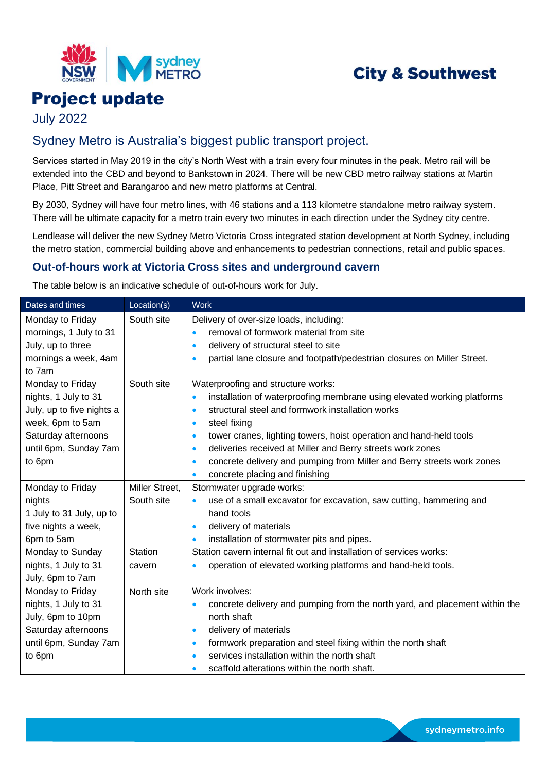

# **City & Southwest**

# Project update

July 2022

## Sydney Metro is Australia's biggest public transport project.

Services started in May 2019 in the city's North West with a train every four minutes in the peak. Metro rail will be extended into the CBD and beyond to Bankstown in 2024. There will be new CBD metro railway stations at Martin Place, Pitt Street and Barangaroo and new metro platforms at Central.

By 2030, Sydney will have four metro lines, with 46 stations and a 113 kilometre standalone metro railway system. There will be ultimate capacity for a metro train every two minutes in each direction under the Sydney city centre.

Lendlease will deliver the new Sydney Metro Victoria Cross integrated station development at North Sydney, including the metro station, commercial building above and enhancements to pedestrian connections, retail and public spaces.

### **Out-of-hours work at Victoria Cross sites and underground cavern**

The table below is an indicative schedule of out-of-hours work for July.

| Dates and times           | Location(s)    | <b>Work</b>                                                                              |
|---------------------------|----------------|------------------------------------------------------------------------------------------|
| Monday to Friday          | South site     | Delivery of over-size loads, including:                                                  |
| mornings, 1 July to 31    |                | removal of formwork material from site<br>$\bullet$                                      |
| July, up to three         |                | delivery of structural steel to site<br>$\bullet$                                        |
| mornings a week, 4am      |                | partial lane closure and footpath/pedestrian closures on Miller Street.<br>$\bullet$     |
| to 7am                    |                |                                                                                          |
| Monday to Friday          | South site     | Waterproofing and structure works:                                                       |
| nights, 1 July to 31      |                | installation of waterproofing membrane using elevated working platforms<br>$\bullet$     |
| July, up to five nights a |                | structural steel and formwork installation works<br>$\bullet$                            |
| week, 6pm to 5am          |                | steel fixing<br>$\bullet$                                                                |
| Saturday afternoons       |                | tower cranes, lighting towers, hoist operation and hand-held tools<br>$\bullet$          |
| until 6pm, Sunday 7am     |                | deliveries received at Miller and Berry streets work zones<br>$\bullet$                  |
| to 6pm                    |                | concrete delivery and pumping from Miller and Berry streets work zones<br>$\bullet$      |
|                           |                | concrete placing and finishing<br>$\bullet$                                              |
| Monday to Friday          | Miller Street, | Stormwater upgrade works:                                                                |
| nights                    | South site     | use of a small excavator for excavation, saw cutting, hammering and                      |
| 1 July to 31 July, up to  |                | hand tools                                                                               |
| five nights a week,       |                | delivery of materials<br>$\bullet$                                                       |
| 6pm to 5am                |                | installation of stormwater pits and pipes.<br>$\bullet$                                  |
| Monday to Sunday          | Station        | Station cavern internal fit out and installation of services works:                      |
| nights, 1 July to 31      | cavern         | operation of elevated working platforms and hand-held tools.                             |
| July, 6pm to 7am          |                |                                                                                          |
| Monday to Friday          | North site     | Work involves:                                                                           |
| nights, 1 July to 31      |                | concrete delivery and pumping from the north yard, and placement within the<br>$\bullet$ |
| July, 6pm to 10pm         |                | north shaft                                                                              |
| Saturday afternoons       |                | delivery of materials<br>$\bullet$                                                       |
| until 6pm, Sunday 7am     |                | formwork preparation and steel fixing within the north shaft<br>$\bullet$                |
| to 6pm                    |                | services installation within the north shaft<br>٠                                        |
|                           |                | scaffold alterations within the north shaft.<br>٠                                        |